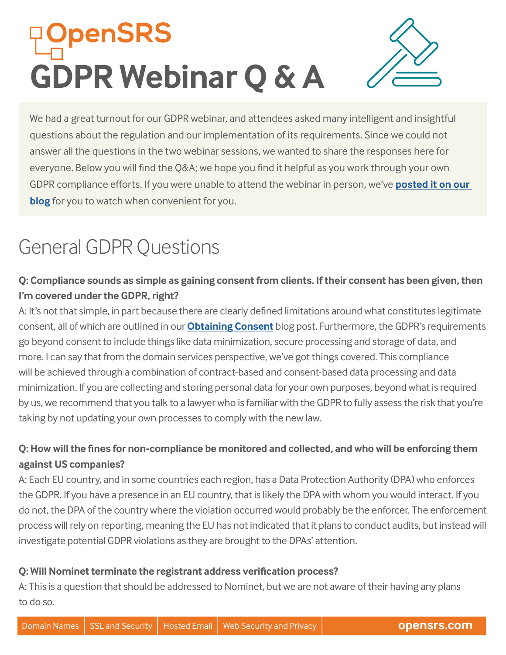# **DpenSRS GDPR Webinar Q & A**

We had a great turnout for our GDPR webinar, and attendees asked many intelligent and insightful questions about the regulation and our implementation of its requirements. Since we could not answer all the questions in the two webinar sessions, we wanted to share the responses here for everyone. Below you will find the Q&A; we hope you find it helpful as you work through your own GDPR compliance efforts. If you were unable to attend the webinar in person, we've **[posted it on our](https://opensrs.com/blog/2018/03/gdpr-reseller-webinar/)  [blog](https://opensrs.com/blog/2018/03/gdpr-reseller-webinar/)** for you to watch when convenient for you.

# General GDPR Questions

# **Q: Compliance sounds as simple as gaining consent from clients. If their consent has been given, then I'm covered under the GDPR, right?**

A: It's not that simple, in part because there are clearly defined limitations around what constitutes legitimate consent, all of which are outlined in our **[Obtaining Consent](https://opensrs.com/blog/2017/12/gdpr-updates-obtaining-consent/)** blog post. Furthermore, the GDPR's requirements go beyond consent to include things like data minimization, secure processing and storage of data, and more. I can say that from the domain services perspective, we've got things covered. This compliance will be achieved through a combination of contract-based and consent-based data processing and data minimization. If you are collecting and storing personal data for your own purposes, beyond what is required by us, we recommend that you talk to a lawyer who is familiar with the GDPR to fully assess the risk that you're taking by not updating your own processes to comply with the new law.

# **Q: How will the fines for non-compliance be monitored and collected, and who will be enforcing them against US companies?**

A: Each EU country, and in some countries each region, has a Data Protection Authority (DPA) who enforces the GDPR. If you have a presence in an EU country, that is likely the DPA with whom you would interact. If you do not, the DPA of the country where the violation occurred would probably be the enforcer. The enforcement process will rely on reporting, meaning the EU has not indicated that it plans to conduct audits, but instead will investigate potential GDPR violations as they are brought to the DPAs' attention.

#### **Q: Will Nominet terminate the registrant address verification process?**

A: This is a question that should be addressed to Nominet, but we are not aware of their having any plans to do so.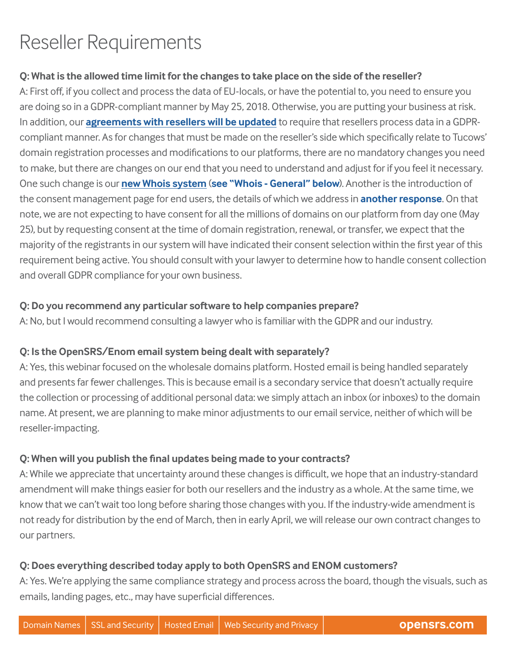# Reseller Requirements

#### **Q: What is the allowed time limit for the changes to take place on the side of the reseller?**

A: First off, if you collect and process the data of EU-locals, or have the potential to, you need to ensure you are doing so in a GDPR-compliant manner by May 25, 2018. Otherwise, you are putting your business at risk. In addition, our **[agreements with resellers](https://opensrs.com/blog/2018/03/gdpr-updates-contract-changes/) will be updated** to require that resellers process data in a GDPRcompliant manner. As for changes that must be made on the reseller's side which specifically relate to Tucows' domain registration processes and modifications to our platforms, there are no mandatory changes you need to make, but there are changes on our end that you need to understand and adjust for if you feel it necessary. One such change is our **[new Whois system](https://opensrs.com/blog/2017/11/gdpr-updates-whois-changes/)** (**see ["Whois - General"](#page-3-0) below**). Another is the introduction of the consent management page for end users, the details of which we address in **[another response](#page-3-1)**. On that note, we are not expecting to have consent for all the millions of domains on our platform from day one (May 25), but by requesting consent at the time of domain registration, renewal, or transfer, we expect that the majority of the registrants in our system will have indicated their consent selection within the first year of this requirement being active. You should consult with your lawyer to determine how to handle consent collection and overall GDPR compliance for your own business.

#### **Q: Do you recommend any particular software to help companies prepare?**

A: No, but I would recommend consulting a lawyer who is familiar with the GDPR and our industry.

#### **Q: Is the OpenSRS/Enom email system being dealt with separately?**

A: Yes, this webinar focused on the wholesale domains platform. Hosted email is being handled separately and presents far fewer challenges. This is because email is a secondary service that doesn't actually require the collection or processing of additional personal data: we simply attach an inbox (or inboxes) to the domain name. At present, we are planning to make minor adjustments to our email service, neither of which will be reseller-impacting.

#### **Q: When will you publish the final updates being made to your contracts?**

A: While we appreciate that uncertainty around these changes is difficult, we hope that an industry-standard amendment will make things easier for both our resellers and the industry as a whole. At the same time, we know that we can't wait too long before sharing those changes with you. If the industry-wide amendment is not ready for distribution by the end of March, then in early April, we will release our own contract changes to our partners.

#### **Q: Does everything described today apply to both OpenSRS and ENOM customers?**

A: Yes. We're applying the same compliance strategy and process across the board, though the visuals, such as emails, landing pages, etc., may have superficial differences.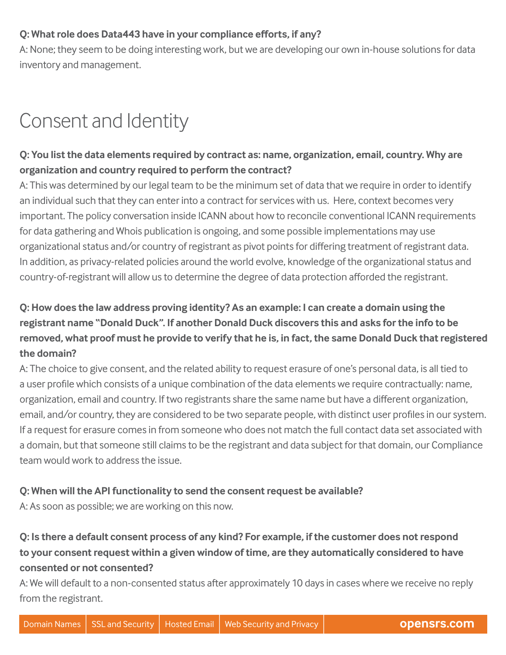#### **Q: What role does Data443 have in your compliance efforts, if any?**

A: None; they seem to be doing interesting work, but we are developing our own in-house solutions for data inventory and management.

# Consent and Identity

### **Q: You list the data elements required by contract as: name, organization, email, country. Why are organization and country required to perform the contract?**

A: This was determined by our legal team to be the minimum set of data that we require in order to identify an individual such that they can enter into a contract for services with us. Here, context becomes very important. The policy conversation inside ICANN about how to reconcile conventional ICANN requirements for data gathering and Whois publication is ongoing, and some possible implementations may use organizational status and/or country of registrant as pivot points for differing treatment of registrant data. In addition, as privacy-related policies around the world evolve, knowledge of the organizational status and country-of-registrant will allow us to determine the degree of data protection afforded the registrant.

# **Q: How does the law address proving identity? As an example: I can create a domain using the registrant name "Donald Duck". If another Donald Duck discovers this and asks for the info to be removed, what proof must he provide to verify that he is, in fact, the same Donald Duck that registered the domain?**

A: The choice to give consent, and the related ability to request erasure of one's personal data, is all tied to a user profile which consists of a unique combination of the data elements we require contractually: name, organization, email and country. If two registrants share the same name but have a different organization, email, and/or country, they are considered to be two separate people, with distinct user profiles in our system. If a request for erasure comes in from someone who does not match the full contact data set associated with a domain, but that someone still claims to be the registrant and data subject for that domain, our Compliance team would work to address the issue.

#### **Q: When will the API functionality to send the consent request be available?**

A: As soon as possible; we are working on this now.

# **Q: Is there a default consent process of any kind? For example, if the customer does not respond to your consent request within a given window of time, are they automatically considered to have consented or not consented?**

A: We will default to a non-consented status after approximately 10 days in cases where we receive no reply from the registrant.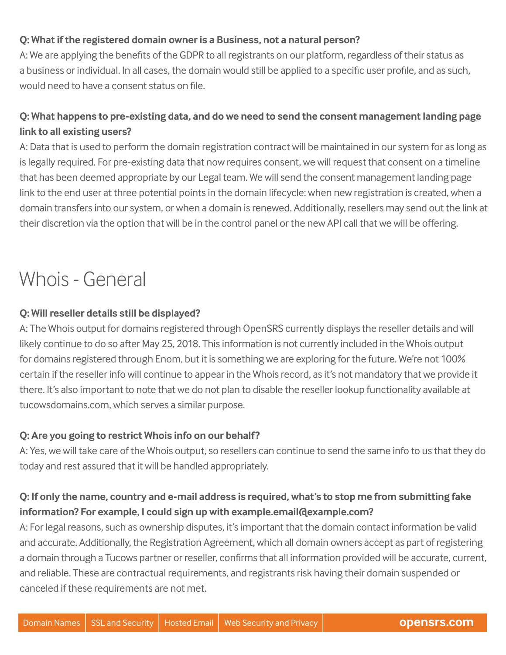#### **Q: What if the registered domain owner is a Business, not a natural person?**

A: We are applying the benefits of the GDPR to all registrants on our platform, regardless of their status as a business or individual. In all cases, the domain would still be applied to a specific user profile, and as such, would need to have a consent status on file.

# <span id="page-3-1"></span>**Q: What happens to pre-existing data, and do we need to send the consent management landing page link to all existing users?**

A: Data that is used to perform the domain registration contract will be maintained in our system for as long as is legally required. For pre-existing data that now requires consent, we will request that consent on a timeline that has been deemed appropriate by our Legal team. We will send the consent management landing page link to the end user at three potential points in the domain lifecycle: when new registration is created, when a domain transfers into our system, or when a domain is renewed. Additionally, resellers may send out the link at their discretion via the option that will be in the control panel or the new API call that we will be offering.

# <span id="page-3-0"></span>Whois - General

#### **Q: Will reseller details still be displayed?**

A: The Whois output for domains registered through OpenSRS currently displays the reseller details and will likely continue to do so after May 25, 2018. This information is not currently included in the Whois output for domains registered through Enom, but it is something we are exploring for the future. We're not 100% certain if the reseller info will continue to appear in the Whois record, as it's not mandatory that we provide it there. It's also important to note that we do not plan to disable the reseller lookup functionality available at tucowsdomains.com, which serves a similar purpose.

#### **Q: Are you going to restrict Whois info on our behalf?**

A: Yes, we will take care of the Whois output, so resellers can continue to send the same info to us that they do today and rest assured that it will be handled appropriately.

### **Q: If only the name, country and e-mail address is required, what's to stop me from submitting fake information? For example, I could sign up with example.email@example.com?**

A: For legal reasons, such as ownership disputes, it's important that the domain contact information be valid and accurate. Additionally, the Registration Agreement, which all domain owners accept as part of registering a domain through a Tucows partner or reseller, confirms that all information provided will be accurate, current, and reliable. These are contractual requirements, and registrants risk having their domain suspended or canceled if these requirements are not met.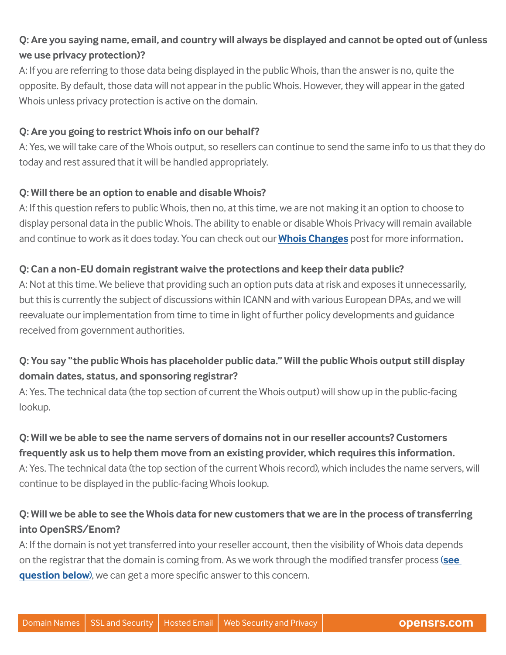# **Q: Are you saying name, email, and country will always be displayed and cannot be opted out of (unless we use privacy protection)?**

A: If you are referring to those data being displayed in the public Whois, than the answer is no, quite the opposite. By default, those data will not appear in the public Whois. However, they will appear in the gated Whois unless privacy protection is active on the domain.

#### **Q: Are you going to restrict Whois info on our behalf?**

A: Yes, we will take care of the Whois output, so resellers can continue to send the same info to us that they do today and rest assured that it will be handled appropriately.

#### **Q: Will there be an option to enable and disable Whois?**

A: If this question refers to public Whois, then no, at this time, we are not making it an option to choose to display personal data in the public Whois. The ability to enable or disable Whois Privacy will remain available and continue to work as it does today. You can check out our **[Whois Changes](https://opensrs.com/blog/2017/11/gdpr-updates-whois-changes/)** post for more information**.**

#### **Q: Can a non-EU domain registrant waive the protections and keep their data public?**

A: Not at this time. We believe that providing such an option puts data at risk and exposes it unnecessarily, but this is currently the subject of discussions within ICANN and with various European DPAs, and we will reevaluate our implementation from time to time in light of further policy developments and guidance received from government authorities.

### **Q: You say "the public Whois has placeholder public data." Will the public Whois output still display domain dates, status, and sponsoring registrar?**

A: Yes. The technical data (the top section of current the Whois output) will show up in the public-facing lookup.

# **Q: Will we be able to see the name servers of domains not in our reseller accounts? Customers frequently ask us to help them move from an existing provider, which requires this information.** A: Yes. The technical data (the top section of the current Whois record), which includes the name servers, will continue to be displayed in the public-facing Whois lookup.

### **Q: Will we be able to see the Whois data for new customers that we are in the process of transferring into OpenSRS/Enom?**

A: If the domain is not yet transferred into your reseller account, then the visibility of Whois data depends on the registrar that the domain is coming from. As we work through the modified transfer process (**[see](#page-5-0)  [question below](#page-5-0)**), we can get a more specific answer to this concern.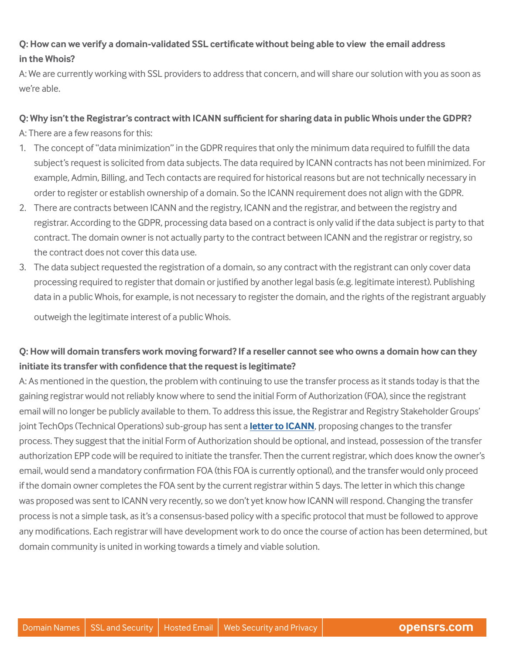#### **Q: How can we verify a domain-validated SSL certificate without being able to view the email address in the Whois?**

A: We are currently working with SSL providers to address that concern, and will share our solution with you as soon as we're able.

#### **Q: Why isn't the Registrar's contract with ICANN sufficient for sharing data in public Whois under the GDPR?**

A: There are a few reasons for this:

- 1. The concept of "data minimization" in the GDPR requires that only the minimum data required to fulfill the data subject's request is solicited from data subjects. The data required by ICANN contracts has not been minimized. For example, Admin, Billing, and Tech contacts are required for historical reasons but are not technically necessary in order to register or establish ownership of a domain. So the ICANN requirement does not align with the GDPR.
- 2. There are contracts between ICANN and the registry, ICANN and the registrar, and between the registry and registrar. According to the GDPR, processing data based on a contract is only valid if the data subject is party to that contract. The domain owner is not actually party to the contract between ICANN and the registrar or registry, so the contract does not cover this data use.
- 3. The data subject requested the registration of a domain, so any contract with the registrant can only cover data processing required to register that domain or justified by another legal basis (e.g. legitimate interest). Publishing data in a public Whois, for example, is not necessary to register the domain, and the rights of the registrant arguably

outweigh the legitimate interest of a public Whois.

#### <span id="page-5-0"></span>**Q: How will domain transfers work moving forward? If a reseller cannot see who owns a domain how can they initiate its transfer with confidence that the request is legitimate?**

A: As mentioned in the question, the problem with continuing to use the transfer process as it stands today is that the gaining registrar would not reliably know where to send the initial Form of Authorization (FOA), since the registrant email will no longer be publicly available to them. To address this issue, the Registrar and Registry Stakeholder Groups' joint TechOps (Technical Operations) sub-group has sent a **[letter to ICANN](https://www.icann.org/en/system/files/files/gdpr-comments-contract-party-techops-icann-proposed-compliance-models-08mar18-en.pdf)**, proposing changes to the transfer process. They suggest that the initial Form of Authorization should be optional, and instead, possession of the transfer authorization EPP code will be required to initiate the transfer. Then the current registrar, which does know the owner's email, would send a mandatory confirmation FOA (this FOA is currently optional), and the transfer would only proceed if the domain owner completes the FOA sent by the current registrar within 5 days. The letter in which this change was proposed was sent to ICANN very recently, so we don't yet know how ICANN will respond. Changing the transfer process is not a simple task, as it's a consensus-based policy with a specific protocol that must be followed to approve any modifications. Each registrar will have development work to do once the course of action has been determined, but domain community is united in working towards a timely and viable solution.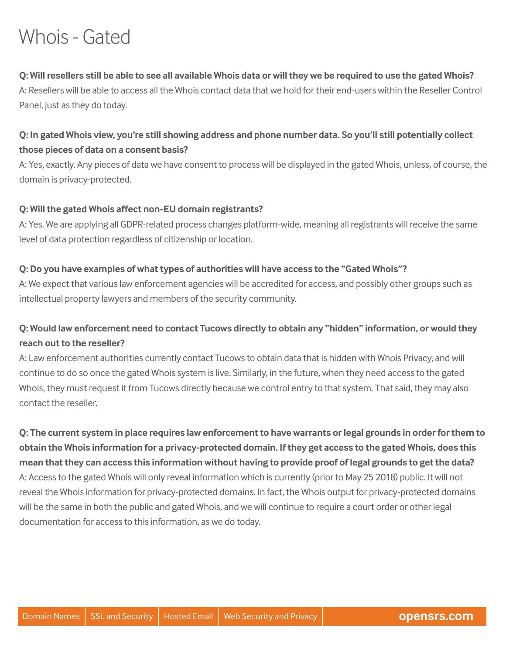# Whois - Gated

#### **Q: Will resellers still be able to see all available Whois data or will they we be required to use the gated Whois?**

A: Resellers will be able to access all the Whois contact data that we hold for their end-users within the Reseller Control Panel, just as they do today.

#### **Q: In gated Whois view, you're still showing address and phone number data. So you'll still potentially collect those pieces of data on a consent basis?**

A: Yes, exactly. Any pieces of data we have consent to process will be displayed in the gated Whois, unless, of course, the domain is privacy-protected.

#### **Q: Will the gated Whois affect non-EU domain registrants?**

A: Yes. We are applying all GDPR-related process changes platform-wide, meaning all registrants will receive the same level of data protection regardless of citizenship or location.

#### **Q: Do you have examples of what types of authorities will have access to the "Gated Whois"?**

A: We expect that various law enforcement agencies will be accredited for access, and possibly other groups such as intellectual property lawyers and members of the security community.

#### **Q: Would law enforcement need to contact Tucows directly to obtain any "hidden" information, or would they reach out to the reseller?**

A: Law enforcement authorities currently contact Tucows to obtain data that is hidden with Whois Privacy, and will continue to do so once the gated Whois system is live. Similarly, in the future, when they need access to the gated Whois, they must request it from Tucows directly because we control entry to that system. That said, they may also contact the reseller.

**Q: The current system in place requires law enforcement to have warrants or legal grounds in order for them to obtain the Whois information for a privacy-protected domain. If they get access to the gated Whois, does this mean that they can access this information without having to provide proof of legal grounds to get the data?** A: Access to the gated Whois will only reveal information which is currently (prior to May 25 2018) public. It will not reveal the Whois information for privacy-protected domains. In fact, the Whois output for privacy-protected domains will be the same in both the public and gated Whois, and we will continue to require a court order or other legal documentation for access to this information, as we do today.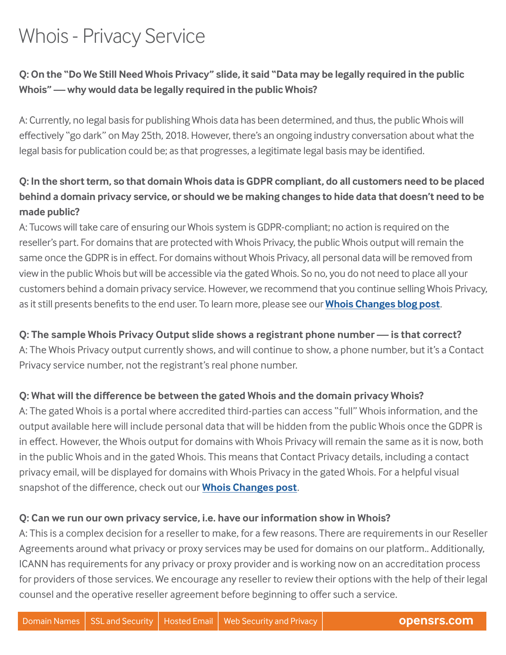# Whois - Privacy Service

### **Q: On the "Do We Still Need Whois Privacy" slide, it said "Data may be legally required in the public Whois" — why would data be legally required in the public Whois?**

A: Currently, no legal basis for publishing Whois data has been determined, and thus, the public Whois will effectively "go dark" on May 25th, 2018. However, there's an ongoing industry conversation about what the legal basis for publication could be; as that progresses, a legitimate legal basis may be identified.

# **Q: In the short term, so that domain Whois data is GDPR compliant, do all customers need to be placed behind a domain privacy service, or should we be making changes to hide data that doesn't need to be made public?**

A: Tucows will take care of ensuring our Whois system is GDPR-compliant; no action is required on the reseller's part. For domains that are protected with Whois Privacy, the public Whois output will remain the same once the GDPR is in effect. For domains without Whois Privacy, all personal data will be removed from view in the public Whois but will be accessible via the gated Whois. So no, you do not need to place all your customers behind a domain privacy service. However, we recommend that you continue selling Whois Privacy, as it still presents benefits to the end user. To learn more, please see our **[Whois Changes blog post](https://opensrs.com/blog/2017/11/gdpr-updates-whois-changes/)**.

### **Q: The sample Whois Privacy Output slide shows a registrant phone number — is that correct?**

A: The Whois Privacy output currently shows, and will continue to show, a phone number, but it's a Contact Privacy service number, not the registrant's real phone number.

#### **Q: What will the difference be between the gated Whois and the domain privacy Whois?**

A: The gated Whois is a portal where accredited third-parties can access "full" Whois information, and the output available here will include personal data that will be hidden from the public Whois once the GDPR is in effect. However, the Whois output for domains with Whois Privacy will remain the same as it is now, both in the public Whois and in the gated Whois. This means that Contact Privacy details, including a contact privacy email, will be displayed for domains with Whois Privacy in the gated Whois. For a helpful visual snapshot of the difference, check out our **[Whois Changes post](https://opensrs.com/blog/2017/11/gdpr-updates-whois-changes/)**.

#### **Q: Can we run our own privacy service, i.e. have our information show in Whois?**

A: This is a complex decision for a reseller to make, for a few reasons. There are requirements in our Reseller Agreements around what privacy or proxy services may be used for domains on our platform.. Additionally, ICANN has requirements for any privacy or proxy provider and is working now on an accreditation process for providers of those services. We encourage any reseller to review their options with the help of their legal counsel and the operative reseller agreement before beginning to offer such a service.